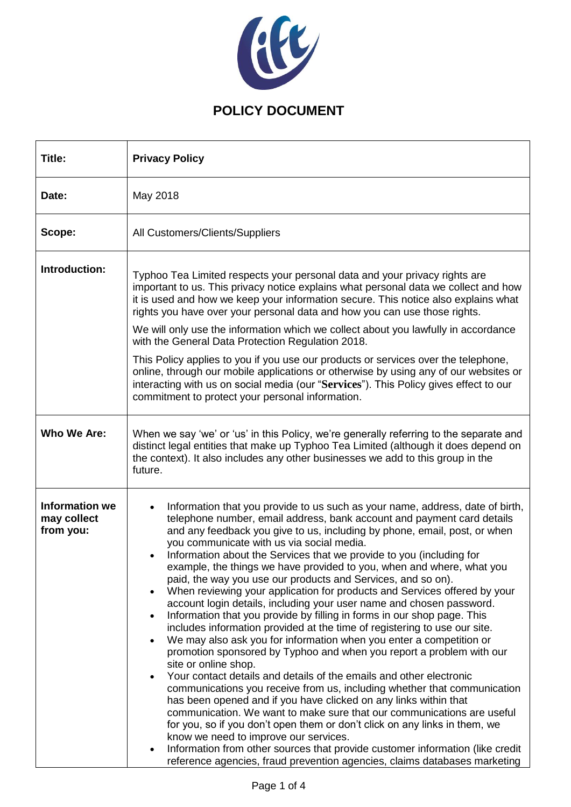

| Title:                                            | <b>Privacy Policy</b>                                                                                                                                                                                                                                                                                                                                                                                                                                                                                                                                                                                                                                                                                                                                                                                                                                                                                                                                                                                                                                                                                                                                                                                                                                                                                                                                                                                                                                                                                                                                                                                                            |  |  |
|---------------------------------------------------|----------------------------------------------------------------------------------------------------------------------------------------------------------------------------------------------------------------------------------------------------------------------------------------------------------------------------------------------------------------------------------------------------------------------------------------------------------------------------------------------------------------------------------------------------------------------------------------------------------------------------------------------------------------------------------------------------------------------------------------------------------------------------------------------------------------------------------------------------------------------------------------------------------------------------------------------------------------------------------------------------------------------------------------------------------------------------------------------------------------------------------------------------------------------------------------------------------------------------------------------------------------------------------------------------------------------------------------------------------------------------------------------------------------------------------------------------------------------------------------------------------------------------------------------------------------------------------------------------------------------------------|--|--|
| Date:                                             | May 2018                                                                                                                                                                                                                                                                                                                                                                                                                                                                                                                                                                                                                                                                                                                                                                                                                                                                                                                                                                                                                                                                                                                                                                                                                                                                                                                                                                                                                                                                                                                                                                                                                         |  |  |
| Scope:                                            | All Customers/Clients/Suppliers                                                                                                                                                                                                                                                                                                                                                                                                                                                                                                                                                                                                                                                                                                                                                                                                                                                                                                                                                                                                                                                                                                                                                                                                                                                                                                                                                                                                                                                                                                                                                                                                  |  |  |
| Introduction:                                     | Typhoo Tea Limited respects your personal data and your privacy rights are<br>important to us. This privacy notice explains what personal data we collect and how<br>it is used and how we keep your information secure. This notice also explains what<br>rights you have over your personal data and how you can use those rights.<br>We will only use the information which we collect about you lawfully in accordance<br>with the General Data Protection Regulation 2018.<br>This Policy applies to you if you use our products or services over the telephone,<br>online, through our mobile applications or otherwise by using any of our websites or<br>interacting with us on social media (our "Services"). This Policy gives effect to our<br>commitment to protect your personal information.                                                                                                                                                                                                                                                                                                                                                                                                                                                                                                                                                                                                                                                                                                                                                                                                                       |  |  |
| Who We Are:                                       | When we say 'we' or 'us' in this Policy, we're generally referring to the separate and<br>distinct legal entities that make up Typhoo Tea Limited (although it does depend on<br>the context). It also includes any other businesses we add to this group in the<br>future.                                                                                                                                                                                                                                                                                                                                                                                                                                                                                                                                                                                                                                                                                                                                                                                                                                                                                                                                                                                                                                                                                                                                                                                                                                                                                                                                                      |  |  |
| <b>Information we</b><br>may collect<br>from you: | Information that you provide to us such as your name, address, date of birth,<br>telephone number, email address, bank account and payment card details<br>and any feedback you give to us, including by phone, email, post, or when<br>you communicate with us via social media.<br>Information about the Services that we provide to you (including for<br>example, the things we have provided to you, when and where, what you<br>paid, the way you use our products and Services, and so on).<br>When reviewing your application for products and Services offered by your<br>account login details, including your user name and chosen password.<br>Information that you provide by filling in forms in our shop page. This<br>$\bullet$<br>includes information provided at the time of registering to use our site.<br>We may also ask you for information when you enter a competition or<br>$\bullet$<br>promotion sponsored by Typhoo and when you report a problem with our<br>site or online shop.<br>Your contact details and details of the emails and other electronic<br>$\bullet$<br>communications you receive from us, including whether that communication<br>has been opened and if you have clicked on any links within that<br>communication. We want to make sure that our communications are useful<br>for you, so if you don't open them or don't click on any links in them, we<br>know we need to improve our services.<br>Information from other sources that provide customer information (like credit<br>$\bullet$<br>reference agencies, fraud prevention agencies, claims databases marketing |  |  |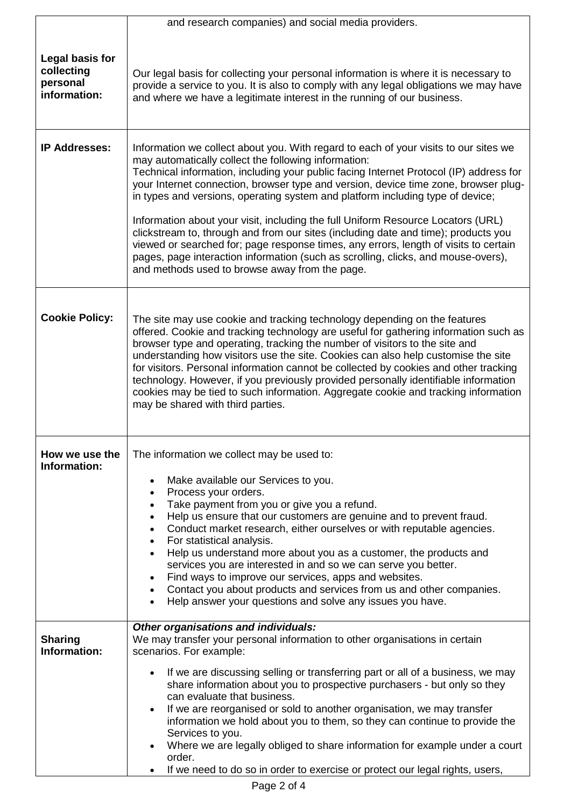|                                                           | and research companies) and social media providers.                                                                                                                                                                                                                                                                                                                                                                                                                                                                                                                                                                                                                                                                                                                                                                      |  |  |  |
|-----------------------------------------------------------|--------------------------------------------------------------------------------------------------------------------------------------------------------------------------------------------------------------------------------------------------------------------------------------------------------------------------------------------------------------------------------------------------------------------------------------------------------------------------------------------------------------------------------------------------------------------------------------------------------------------------------------------------------------------------------------------------------------------------------------------------------------------------------------------------------------------------|--|--|--|
| Legal basis for<br>collecting<br>personal<br>information: | Our legal basis for collecting your personal information is where it is necessary to<br>provide a service to you. It is also to comply with any legal obligations we may have<br>and where we have a legitimate interest in the running of our business.                                                                                                                                                                                                                                                                                                                                                                                                                                                                                                                                                                 |  |  |  |
| <b>IP Addresses:</b>                                      | Information we collect about you. With regard to each of your visits to our sites we<br>may automatically collect the following information:<br>Technical information, including your public facing Internet Protocol (IP) address for<br>your Internet connection, browser type and version, device time zone, browser plug-<br>in types and versions, operating system and platform including type of device;<br>Information about your visit, including the full Uniform Resource Locators (URL)<br>clickstream to, through and from our sites (including date and time); products you<br>viewed or searched for; page response times, any errors, length of visits to certain<br>pages, page interaction information (such as scrolling, clicks, and mouse-overs),<br>and methods used to browse away from the page. |  |  |  |
| <b>Cookie Policy:</b>                                     | The site may use cookie and tracking technology depending on the features<br>offered. Cookie and tracking technology are useful for gathering information such as<br>browser type and operating, tracking the number of visitors to the site and<br>understanding how visitors use the site. Cookies can also help customise the site<br>for visitors. Personal information cannot be collected by cookies and other tracking<br>technology. However, if you previously provided personally identifiable information<br>cookies may be tied to such information. Aggregate cookie and tracking information<br>may be shared with third parties.                                                                                                                                                                          |  |  |  |
| How we use the<br>Information:                            | The information we collect may be used to:<br>Make available our Services to you.<br>$\bullet$<br>Process your orders.<br>$\bullet$<br>Take payment from you or give you a refund.<br>$\bullet$<br>Help us ensure that our customers are genuine and to prevent fraud.<br>$\bullet$<br>Conduct market research, either ourselves or with reputable agencies.<br>$\bullet$<br>For statistical analysis.<br>$\bullet$<br>Help us understand more about you as a customer, the products and<br>$\bullet$<br>services you are interested in and so we can serve you better.<br>Find ways to improve our services, apps and websites.<br>Contact you about products and services from us and other companies.<br>$\bullet$<br>Help answer your questions and solve any issues you have.<br>$\bullet$                          |  |  |  |
| <b>Sharing</b><br>Information:                            | Other organisations and individuals:<br>We may transfer your personal information to other organisations in certain<br>scenarios. For example:<br>If we are discussing selling or transferring part or all of a business, we may<br>$\bullet$<br>share information about you to prospective purchasers - but only so they<br>can evaluate that business.<br>If we are reorganised or sold to another organisation, we may transfer<br>$\bullet$<br>information we hold about you to them, so they can continue to provide the<br>Services to you.<br>Where we are legally obliged to share information for example under a court<br>$\bullet$<br>order.<br>If we need to do so in order to exercise or protect our legal rights, users,                                                                                  |  |  |  |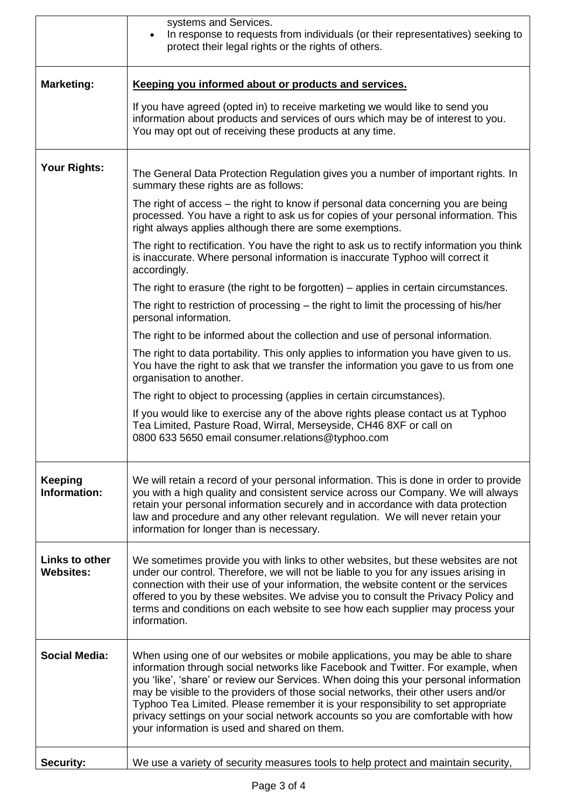|                                    | systems and Services.<br>In response to requests from individuals (or their representatives) seeking to<br>$\bullet$<br>protect their legal rights or the rights of others.                                                                                                                                                                                                                                                                                                                                                                                                |  |  |  |
|------------------------------------|----------------------------------------------------------------------------------------------------------------------------------------------------------------------------------------------------------------------------------------------------------------------------------------------------------------------------------------------------------------------------------------------------------------------------------------------------------------------------------------------------------------------------------------------------------------------------|--|--|--|
| <b>Marketing:</b>                  | Keeping you informed about or products and services.                                                                                                                                                                                                                                                                                                                                                                                                                                                                                                                       |  |  |  |
|                                    | If you have agreed (opted in) to receive marketing we would like to send you<br>information about products and services of ours which may be of interest to you.<br>You may opt out of receiving these products at any time.                                                                                                                                                                                                                                                                                                                                               |  |  |  |
| <b>Your Rights:</b>                | The General Data Protection Regulation gives you a number of important rights. In<br>summary these rights are as follows:                                                                                                                                                                                                                                                                                                                                                                                                                                                  |  |  |  |
|                                    | The right of access – the right to know if personal data concerning you are being<br>processed. You have a right to ask us for copies of your personal information. This<br>right always applies although there are some exemptions.                                                                                                                                                                                                                                                                                                                                       |  |  |  |
|                                    | The right to rectification. You have the right to ask us to rectify information you think<br>is inaccurate. Where personal information is inaccurate Typhoo will correct it<br>accordingly.                                                                                                                                                                                                                                                                                                                                                                                |  |  |  |
|                                    | The right to erasure (the right to be forgotten) – applies in certain circumstances.                                                                                                                                                                                                                                                                                                                                                                                                                                                                                       |  |  |  |
|                                    | The right to restriction of processing – the right to limit the processing of his/her<br>personal information.                                                                                                                                                                                                                                                                                                                                                                                                                                                             |  |  |  |
|                                    | The right to be informed about the collection and use of personal information.                                                                                                                                                                                                                                                                                                                                                                                                                                                                                             |  |  |  |
|                                    | The right to data portability. This only applies to information you have given to us.<br>You have the right to ask that we transfer the information you gave to us from one<br>organisation to another.                                                                                                                                                                                                                                                                                                                                                                    |  |  |  |
|                                    | The right to object to processing (applies in certain circumstances).                                                                                                                                                                                                                                                                                                                                                                                                                                                                                                      |  |  |  |
|                                    | If you would like to exercise any of the above rights please contact us at Typhoo<br>Tea Limited, Pasture Road, Wirral, Merseyside, CH46 8XF or call on<br>0800 633 5650 email consumer.relations@typhoo.com                                                                                                                                                                                                                                                                                                                                                               |  |  |  |
| <b>Keeping</b><br>Information:     | We will retain a record of your personal information. This is done in order to provide<br>you with a high quality and consistent service across our Company. We will always<br>retain your personal information securely and in accordance with data protection<br>law and procedure and any other relevant regulation. We will never retain your<br>information for longer than is necessary.                                                                                                                                                                             |  |  |  |
| Links to other<br><b>Websites:</b> | We sometimes provide you with links to other websites, but these websites are not<br>under our control. Therefore, we will not be liable to you for any issues arising in<br>connection with their use of your information, the website content or the services<br>offered to you by these websites. We advise you to consult the Privacy Policy and<br>terms and conditions on each website to see how each supplier may process your<br>information.                                                                                                                     |  |  |  |
| <b>Social Media:</b>               | When using one of our websites or mobile applications, you may be able to share<br>information through social networks like Facebook and Twitter. For example, when<br>you 'like', 'share' or review our Services. When doing this your personal information<br>may be visible to the providers of those social networks, their other users and/or<br>Typhoo Tea Limited. Please remember it is your responsibility to set appropriate<br>privacy settings on your social network accounts so you are comfortable with how<br>your information is used and shared on them. |  |  |  |
| <b>Security:</b>                   | We use a variety of security measures tools to help protect and maintain security,                                                                                                                                                                                                                                                                                                                                                                                                                                                                                         |  |  |  |